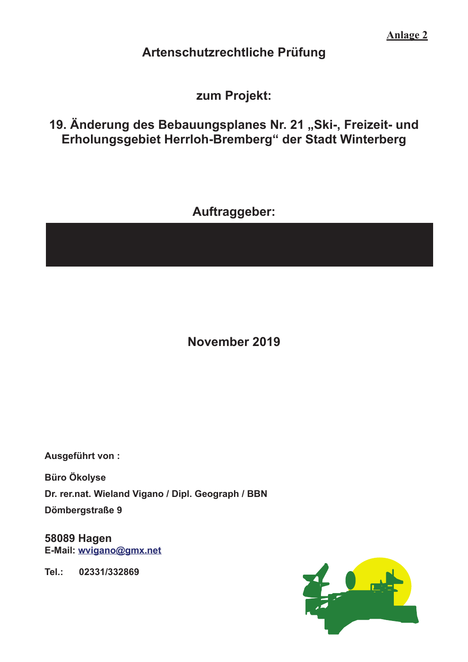**Anlage 2** 

### Artenschutzrechtliche Prüfung

### zum Projekt:

## 19. Änderung des Bebauungsplanes Nr. 21 "Ski-, Freizeit- und Erholungsgebiet Herrloh-Bremberg" der Stadt Winterberg

## Auftraggeber:

# November 2019

Ausgeführt von:

**Büro Ökolyse** Dr. rer.nat. Wieland Vigano / Dipl. Geograph / BBN Dömbergstraße 9

**58089 Hagen** E-Mail: wvigano@gmx.net

Tel.: 02331/332869

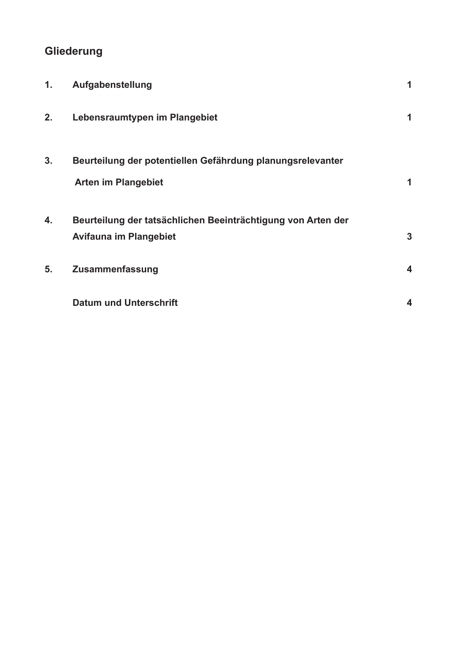### Gliederung

| 1. | Aufgabenstellung                                                                              | 1 |
|----|-----------------------------------------------------------------------------------------------|---|
| 2. | Lebensraumtypen im Plangebiet                                                                 | 1 |
| 3. | Beurteilung der potentiellen Gefährdung planungsrelevanter<br><b>Arten im Plangebiet</b>      | 1 |
| 4. | Beurteilung der tatsächlichen Beeinträchtigung von Arten der<br><b>Avifauna im Plangebiet</b> | 3 |
| 5. | Zusammenfassung                                                                               | 4 |
|    | <b>Datum und Unterschrift</b>                                                                 | 4 |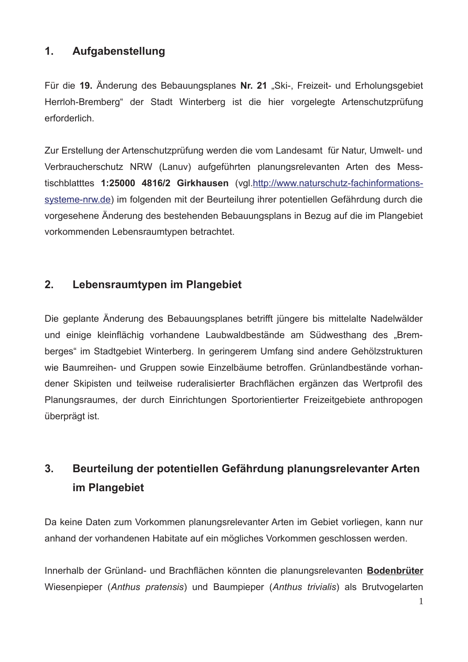### $1.$ Aufgabenstellung

Für die 19. Änderung des Bebauungsplanes Nr. 21 "Ski-, Freizeit- und Erholungsgebiet Herrloh-Bremberg" der Stadt Winterberg ist die hier vorgelegte Artenschutzprüfung erforderlich.

Zur Erstellung der Artenschutzprüfung werden die vom Landesamt für Natur, Umwelt- und Verbraucherschutz NRW (Lanuv) aufgeführten planungsrelevanten Arten des Messtischblatttes 1:25000 4816/2 Girkhausen (vgl.http://www.naturschutz-fachinformationssysteme-nrw.de) im folgenden mit der Beurteilung ihrer potentiellen Gefährdung durch die vorgesehene Änderung des bestehenden Bebauungsplans in Bezug auf die im Plangebiet vorkommenden Lebensraumtypen betrachtet.

### $2.$ Lebensraumtypen im Plangebiet

Die geplante Änderung des Bebauungsplanes betrifft jüngere bis mittelalte Nadelwälder und einige kleinflächig vorhandene Laubwaldbestände am Südwesthang des "Bremberges" im Stadtgebiet Winterberg. In geringerem Umfang sind andere Gehölzstrukturen wie Baumreihen- und Gruppen sowie Einzelbäume betroffen. Grünlandbestände vorhandener Skipisten und teilweise ruderalisierter Brachflächen ergänzen das Wertprofil des Planungsraumes, der durch Einrichtungen Sportorientierter Freizeitgebiete anthropogen überprägt ist.

### $3.$ Beurteilung der potentiellen Gefährdung planungsrelevanter Arten im Plangebiet

Da keine Daten zum Vorkommen planungsrelevanter Arten im Gebiet vorliegen, kann nur anhand der vorhandenen Habitate auf ein mögliches Vorkommen geschlossen werden.

Innerhalb der Grünland- und Brachflächen könnten die planungsrelevanten Bodenbrüter Wiesenpieper (Anthus pratensis) und Baumpieper (Anthus trivialis) als Brutvogelarten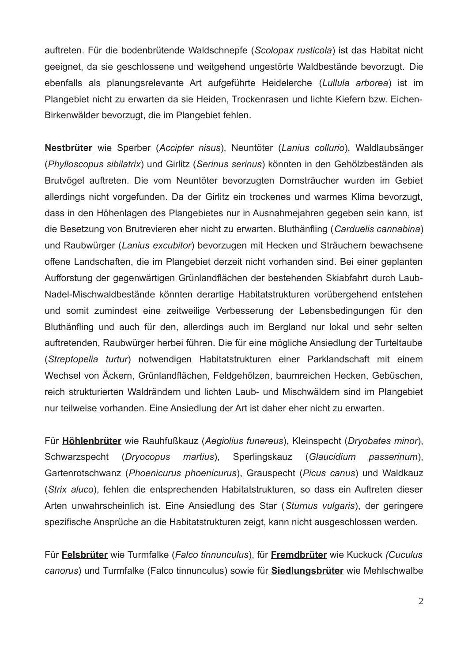auftreten. Für die bodenbrütende Waldschnepfe (Scolopax rusticola) ist das Habitat nicht geeignet, da sie geschlossene und weitgehend ungestörte Waldbestände bevorzugt. Die ebenfalls als planungsrelevante Art aufgeführte Heidelerche (Lullula arborea) ist im Plangebiet nicht zu erwarten da sie Heiden, Trockenrasen und lichte Kiefern bzw. Eichen-Birkenwälder bevorzugt, die im Plangebiet fehlen.

Nestbrüter wie Sperber (Accipter nisus), Neuntöter (Lanius collurio), Waldlaubsänger (Phylloscopus sibilatrix) und Girlitz (Serinus serinus) könnten in den Gehölzbeständen als Brutvögel auftreten. Die vom Neuntöter bevorzugten Dornsträucher wurden im Gebiet allerdings nicht vorgefunden. Da der Girlitz ein trockenes und warmes Klima bevorzugt, dass in den Höhenlagen des Plangebietes nur in Ausnahmejahren gegeben sein kann, ist die Besetzung von Brutrevieren eher nicht zu erwarten. Bluthänfling (Carduelis cannabina) und Raubwürger (Lanius excubitor) bevorzugen mit Hecken und Sträuchern bewachsene offene Landschaften, die im Plangebiet derzeit nicht vorhanden sind. Bei einer geplanten Aufforstung der gegenwärtigen Grünlandflächen der bestehenden Skiabfahrt durch Laub-Nadel-Mischwaldbestände könnten derartige Habitatstrukturen vorübergehend entstehen und somit zumindest eine zeitweilige Verbesserung der Lebensbedingungen für den Bluthänfling und auch für den, allerdings auch im Bergland nur lokal und sehr selten auftretenden, Raubwürger herbei führen. Die für eine mögliche Ansiedlung der Turteltaube (Streptopelia turtur) notwendigen Habitatstrukturen einer Parklandschaft mit einem Wechsel von Äckern, Grünlandflächen, Feldgehölzen, baumreichen Hecken, Gebüschen, reich strukturierten Waldrändern und lichten Laub- und Mischwäldern sind im Plangebiet nur teilweise vorhanden. Eine Ansiedlung der Art ist daher eher nicht zu erwarten.

Für Höhlenbrüter wie Rauhfußkauz (Aegiolius funereus), Kleinspecht (Dryobates minor), Schwarzspecht (Drvocopus martius). Sperlingskauz (Glaucidium passerinum). Gartenrotschwanz (Phoenicurus phoenicurus), Grauspecht (Picus canus) und Waldkauz (Strix aluco), fehlen die entsprechenden Habitatstrukturen, so dass ein Auftreten dieser Arten unwahrscheinlich ist. Eine Ansiedlung des Star (Sturnus vulgaris), der geringere spezifische Ansprüche an die Habitatstrukturen zeigt, kann nicht ausgeschlossen werden.

Für Felsbrüter wie Turmfalke (Falco tinnunculus), für Fremdbrüter wie Kuckuck (Cuculus canorus) und Turmfalke (Falco tinnunculus) sowie für Siedlungsbrüter wie Mehlschwalbe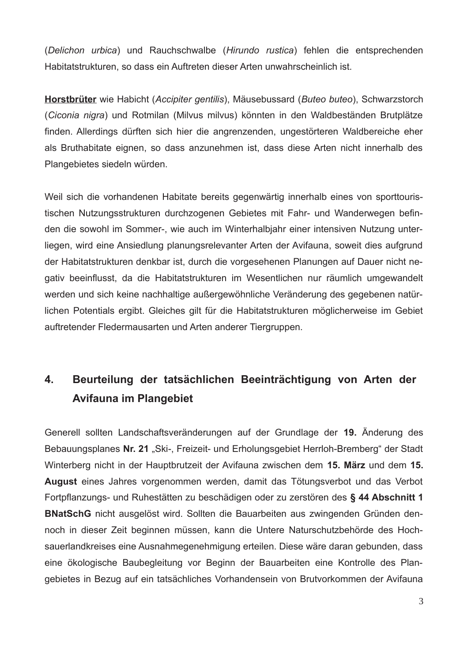(Delichon urbica) und Rauchschwalbe (Hirundo rustica) fehlen die entsprechenden Habitatstrukturen, so dass ein Auftreten dieser Arten unwahrscheinlich ist.

Horstbrüter wie Habicht (Accipiter gentilis), Mäusebussard (Buteo buteo), Schwarzstorch (Ciconia nigra) und Rotmilan (Milvus milvus) könnten in den Waldbeständen Brutplätze finden. Allerdings dürften sich hier die angrenzenden, ungestörteren Waldbereiche eher als Bruthabitate eignen, so dass anzunehmen ist, dass diese Arten nicht innerhalb des Plangebietes siedeln würden.

Weil sich die vorhandenen Habitate bereits gegenwärtig innerhalb eines von sporttouristischen Nutzungsstrukturen durchzogenen Gebietes mit Fahr- und Wanderwegen befinden die sowohl im Sommer-, wie auch im Winterhalbiahr einer intensiven Nutzung unterliegen, wird eine Ansiedlung planungsrelevanter Arten der Avifauna, soweit dies aufgrund der Habitatstrukturen denkbar ist, durch die vorgesehenen Planungen auf Dauer nicht negativ beeinflusst, da die Habitatstrukturen im Wesentlichen nur räumlich umgewandelt werden und sich keine nachhaltige außergewöhnliche Veränderung des gegebenen natürlichen Potentials ergibt. Gleiches gilt für die Habitatstrukturen möglicherweise im Gebiet auftretender Fledermausarten und Arten anderer Tiergruppen.

### $4.$ Beurteilung der tatsächlichen Beeinträchtigung von Arten der **Avifauna im Plangebiet**

Generell sollten Landschaftsveränderungen auf der Grundlage der 19. Änderung des Bebauungsplanes Nr. 21 "Ski-, Freizeit- und Erholungsgebiet Herrloh-Bremberg" der Stadt Winterberg nicht in der Hauptbrutzeit der Avifauna zwischen dem 15. März und dem 15. August eines Jahres vorgenommen werden, damit das Tötungsverbot und das Verbot Fortpflanzungs- und Ruhestätten zu beschädigen oder zu zerstören des § 44 Abschnitt 1 BNatSchG nicht ausgelöst wird. Sollten die Bauarbeiten aus zwingenden Gründen dennoch in dieser Zeit beginnen müssen, kann die Untere Naturschutzbehörde des Hochsauerlandkreises eine Ausnahmegenehmigung erteilen. Diese wäre daran gebunden, dass eine ökologische Baubegleitung vor Beginn der Bauarbeiten eine Kontrolle des Plangebietes in Bezug auf ein tatsächliches Vorhandensein von Brutvorkommen der Avifauna